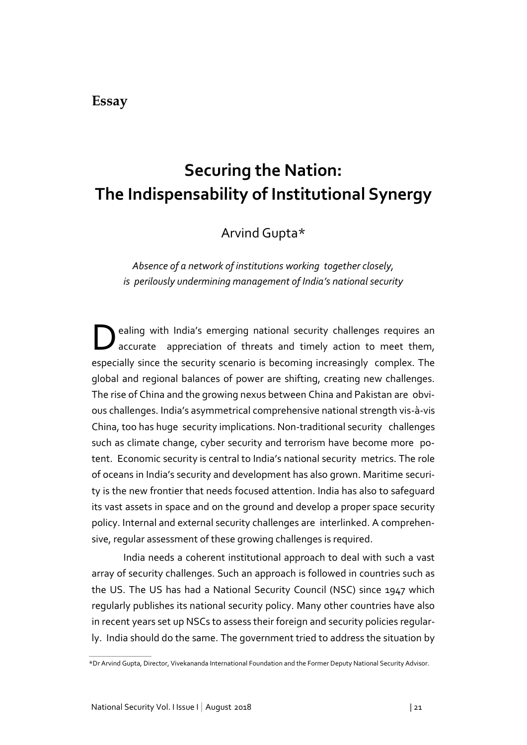## **Essay**

# **Securing the Nation: The Indispensability of Institutional Synergy**

Arvind Gupta\*

*Absence of a network of institutions working together closely, is perilously undermining management of India's national security*

D ealing with India's emerging national security challenges requires an accurate appreciation of threats and timely action to meet them, especially since the security scenario is becoming increasingly complex. The global and regional balances of power are shifting, creating new challenges. The rise of China and the growing nexus between China and Pakistan are obvious challenges. India's asymmetrical comprehensive national strength vis-à-vis China, too has huge security implications. Non-traditional security challenges such as climate change, cyber security and terrorism have become more potent. Economic security is central to India's national security metrics. The role of oceans in India's security and development has also grown. Maritime security is the new frontier that needs focused attention. India has also to safeguard its vast assets in space and on the ground and develop a proper space security policy. Internal and external security challenges are interlinked. A comprehensive, regular assessment of these growing challenges is required.

India needs a coherent institutional approach to deal with such a vast array of security challenges. Such an approach is followed in countries such as the US. The US has had a National Security Council (NSC) since 1947 which regularly publishes its national security policy. Many other countries have also in recent years set up NSCs to assess their foreign and security policies regularly. India should do the same. The government tried to address the situation by

<sup>\*</sup>Dr Arvind Gupta, Director, Vivekananda International Foundation and the Former Deputy National Security Advisor.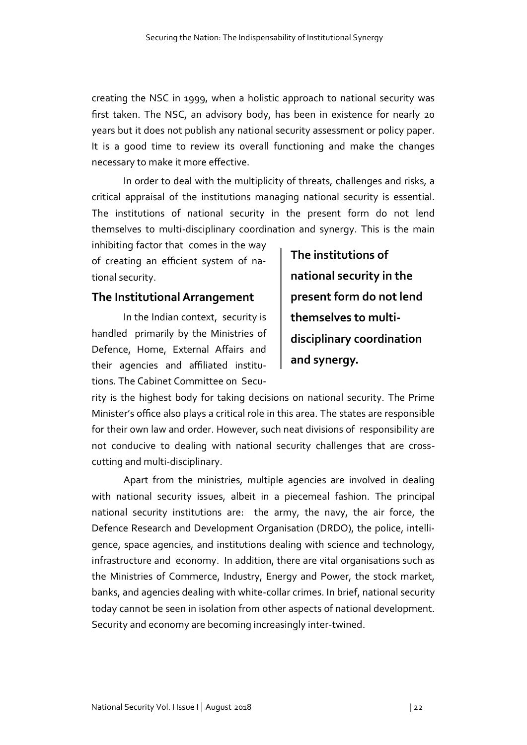creating the NSC in 1999, when a holistic approach to national security was first taken. The NSC, an advisory body, has been in existence for nearly 20 years but it does not publish any national security assessment or policy paper. It is a good time to review its overall functioning and make the changes necessary to make it more effective.

In order to deal with the multiplicity of threats, challenges and risks, a critical appraisal of the institutions managing national security is essential. The institutions of national security in the present form do not lend themselves to multi-disciplinary coordination and synergy. This is the main

inhibiting factor that comes in the way of creating an efficient system of national security.

### **The Institutional Arrangement**

In the Indian context, security is handled primarily by the Ministries of Defence, Home, External Affairs and their agencies and affiliated institutions. The Cabinet Committee on Secu-

**The institutions of national security in the present form do not lend themselves to multidisciplinary coordination and synergy.** 

rity is the highest body for taking decisions on national security. The Prime Minister's office also plays a critical role in this area. The states are responsible for their own law and order. However, such neat divisions of responsibility are not conducive to dealing with national security challenges that are crosscutting and multi-disciplinary.

Apart from the ministries, multiple agencies are involved in dealing with national security issues, albeit in a piecemeal fashion. The principal national security institutions are: the army, the navy, the air force, the Defence Research and Development Organisation (DRDO), the police, intelligence, space agencies, and institutions dealing with science and technology, infrastructure and economy. In addition, there are vital organisations such as the Ministries of Commerce, Industry, Energy and Power, the stock market, banks, and agencies dealing with white-collar crimes. In brief, national security today cannot be seen in isolation from other aspects of national development. Security and economy are becoming increasingly inter-twined.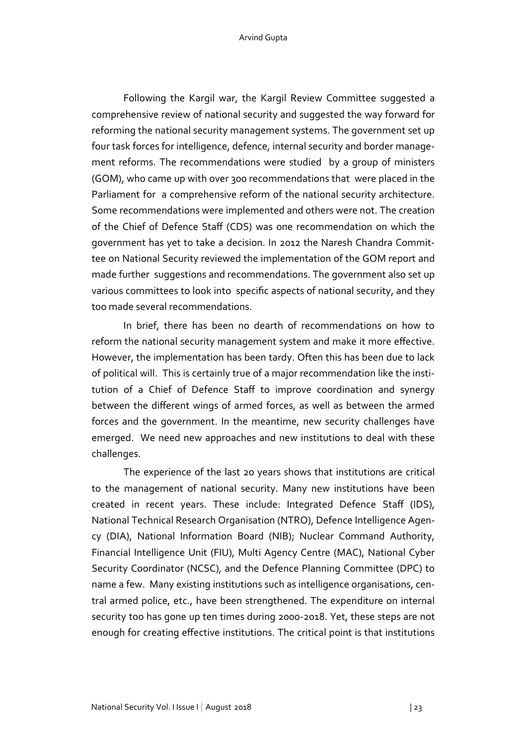Following the Kargil war, the Kargil Review Committee suggested a comprehensive review of national security and suggested the way forward for reforming the national security management systems. The government set up four task forces for intelligence, defence, internal security and border management reforms. The recommendations were studied by a group of ministers (GOM), who came up with over 300 recommendations that were placed in the Parliament for a comprehensive reform of the national security architecture. Some recommendations were implemented and others were not. The creation of the Chief of Defence Staff (CDS) was one recommendation on which the government has yet to take a decision. In 2012 the Naresh Chandra Committee on National Security reviewed the implementation of the GOM report and made further suggestions and recommendations. The government also set up various committees to look into specific aspects of national security, and they too made several recommendations.

In brief, there has been no dearth of recommendations on how to reform the national security management system and make it more effective. However, the implementation has been tardy. Often this has been due to lack of political will. This is certainly true of a major recommendation like the institution of a Chief of Defence Staff to improve coordination and synergy between the different wings of armed forces, as well as between the armed forces and the government. In the meantime, new security challenges have emerged. We need new approaches and new institutions to deal with these challenges.

The experience of the last 20 years shows that institutions are critical to the management of national security. Many new institutions have been created in recent years. These include: Integrated Defence Staff (IDS), National Technical Research Organisation (NTRO), Defence Intelligence Agency (DIA), National Information Board (NIB); Nuclear Command Authority, Financial Intelligence Unit (FIU), Multi Agency Centre (MAC), National Cyber Security Coordinator (NCSC), and the Defence Planning Committee (DPC) to name a few. Many existing institutions such as intelligence organisations, central armed police, etc., have been strengthened. The expenditure on internal security too has gone up ten times during 2000-2018. Yet, these steps are not enough for creating effective institutions. The critical point is that institutions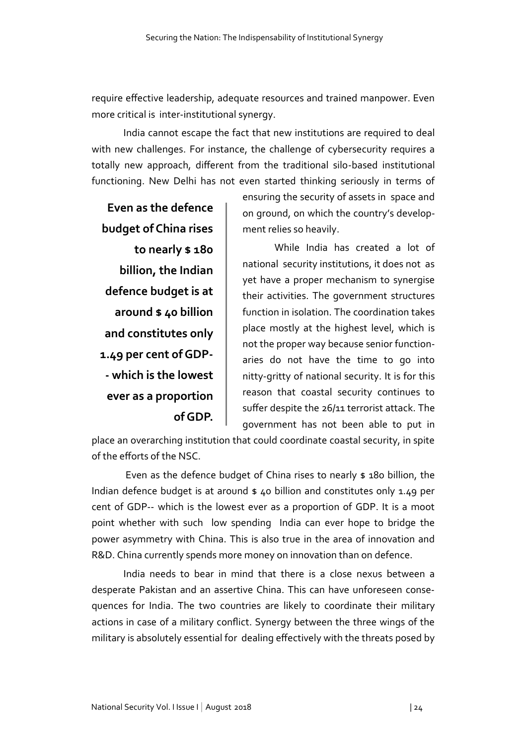require effective leadership, adequate resources and trained manpower. Even more critical is inter-institutional synergy.

India cannot escape the fact that new institutions are required to deal with new challenges. For instance, the challenge of cybersecurity requires a totally new approach, different from the traditional silo-based institutional functioning. New Delhi has not even started thinking seriously in terms of

**Even as the defence budget of China rises to nearly \$ 180 billion, the Indian defence budget is at around \$ 40 billion and constitutes only 1.49 per cent of GDP- - which is the lowest ever as a proportion of GDP.**

ensuring the security of assets in space and on ground, on which the country's development relies so heavily.

While India has created a lot of national security institutions, it does not as yet have a proper mechanism to synergise their activities. The government structures function in isolation. The coordination takes place mostly at the highest level, which is not the proper way because senior functionaries do not have the time to go into nitty-gritty of national security. It is for this reason that coastal security continues to suffer despite the 26/11 terrorist attack. The government has not been able to put in

place an overarching institution that could coordinate coastal security, in spite of the efforts of the NSC.

Even as the defence budget of China rises to nearly \$ 180 billion, the Indian defence budget is at around  $\frac{1}{2}$  40 billion and constitutes only 1.49 per cent of GDP-- which is the lowest ever as a proportion of GDP. It is a moot point whether with such low spending India can ever hope to bridge the power asymmetry with China. This is also true in the area of innovation and R&D. China currently spends more money on innovation than on defence.

India needs to bear in mind that there is a close nexus between a desperate Pakistan and an assertive China. This can have unforeseen consequences for India. The two countries are likely to coordinate their military actions in case of a military conflict. Synergy between the three wings of the military is absolutely essential for dealing effectively with the threats posed by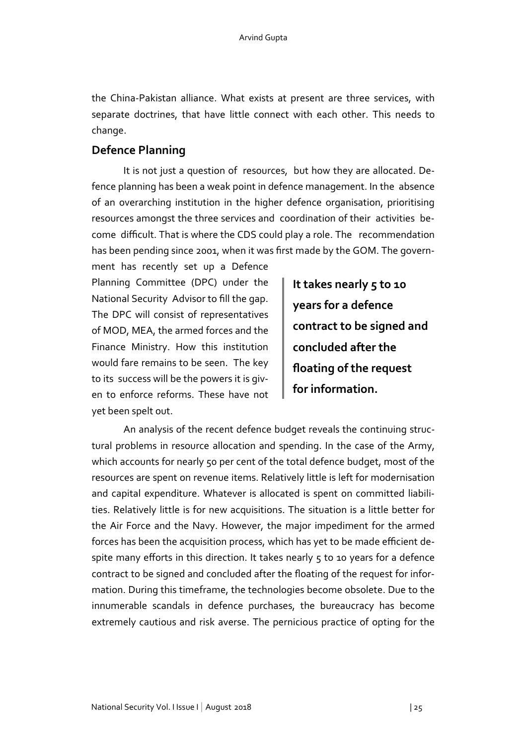the China-Pakistan alliance. What exists at present are three services, with separate doctrines, that have little connect with each other. This needs to change.

## **Defence Planning**

It is not just a question of resources, but how they are allocated. Defence planning has been a weak point in defence management. In the absence of an overarching institution in the higher defence organisation, prioritising resources amongst the three services and coordination of their activities become difficult. That is where the CDS could play a role. The recommendation has been pending since 2001, when it was first made by the GOM. The govern-

ment has recently set up a Defence Planning Committee (DPC) under the National Security Advisor to fill the gap. The DPC will consist of representatives of MOD, MEA, the armed forces and the Finance Ministry. How this institution would fare remains to be seen. The key to its success will be the powers it is given to enforce reforms. These have not yet been spelt out.

**It takes nearly 5 to 10 years for a defence contract to be signed and concluded after the floating of the request for information.** 

An analysis of the recent defence budget reveals the continuing structural problems in resource allocation and spending. In the case of the Army, which accounts for nearly 50 per cent of the total defence budget, most of the resources are spent on revenue items. Relatively little is left for modernisation and capital expenditure. Whatever is allocated is spent on committed liabilities. Relatively little is for new acquisitions. The situation is a little better for the Air Force and the Navy. However, the major impediment for the armed forces has been the acquisition process, which has yet to be made efficient despite many efforts in this direction. It takes nearly  $5$  to 10 years for a defence contract to be signed and concluded after the floating of the request for information. During this timeframe, the technologies become obsolete. Due to the innumerable scandals in defence purchases, the bureaucracy has become extremely cautious and risk averse. The pernicious practice of opting for the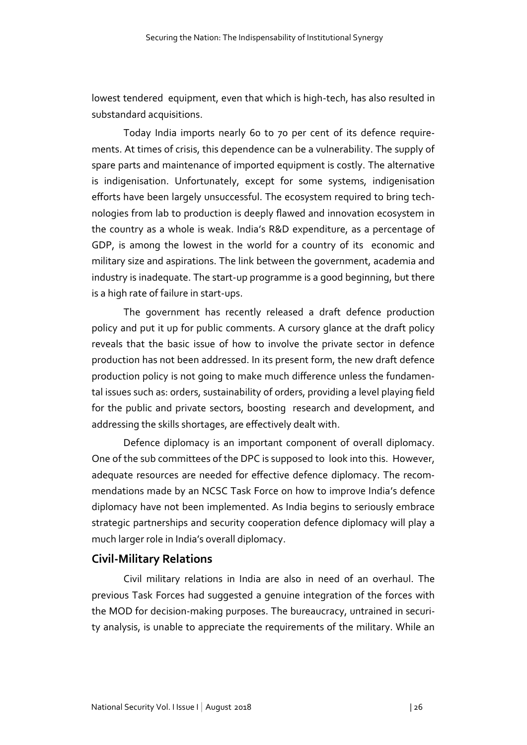lowest tendered equipment, even that which is high-tech, has also resulted in substandard acquisitions.

Today India imports nearly 60 to 70 per cent of its defence requirements. At times of crisis, this dependence can be a vulnerability. The supply of spare parts and maintenance of imported equipment is costly. The alternative is indigenisation. Unfortunately, except for some systems, indigenisation efforts have been largely unsuccessful. The ecosystem required to bring technologies from lab to production is deeply flawed and innovation ecosystem in the country as a whole is weak. India's R&D expenditure, as a percentage of GDP, is among the lowest in the world for a country of its economic and military size and aspirations. The link between the government, academia and industry is inadequate. The start-up programme is a good beginning, but there is a high rate of failure in start-ups.

The government has recently released a draft defence production policy and put it up for public comments. A cursory glance at the draft policy reveals that the basic issue of how to involve the private sector in defence production has not been addressed. In its present form, the new draft defence production policy is not going to make much difference unless the fundamental issues such as: orders, sustainability of orders, providing a level playing field for the public and private sectors, boosting research and development, and addressing the skills shortages, are effectively dealt with.

Defence diplomacy is an important component of overall diplomacy. One of the sub committees of the DPC is supposed to look into this. However, adequate resources are needed for effective defence diplomacy. The recommendations made by an NCSC Task Force on how to improve India's defence diplomacy have not been implemented. As India begins to seriously embrace strategic partnerships and security cooperation defence diplomacy will play a much larger role in India's overall diplomacy.

## **Civil-Military Relations**

Civil military relations in India are also in need of an overhaul. The previous Task Forces had suggested a genuine integration of the forces with the MOD for decision-making purposes. The bureaucracy, untrained in security analysis, is unable to appreciate the requirements of the military. While an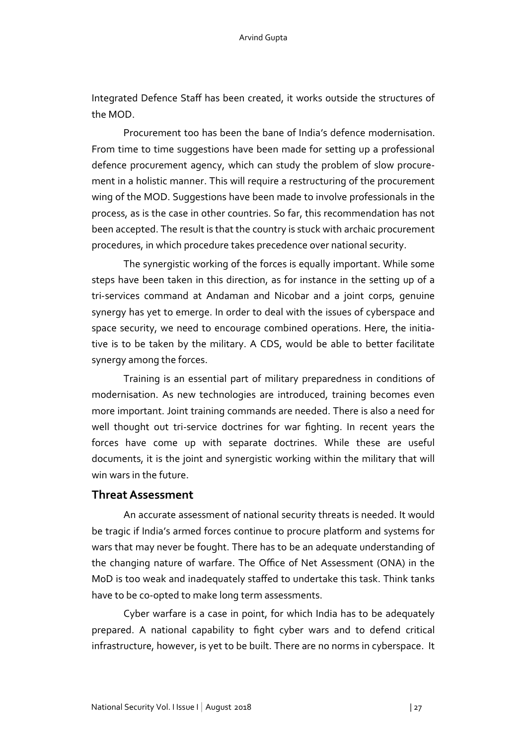Integrated Defence Staff has been created, it works outside the structures of the MOD.

Procurement too has been the bane of India's defence modernisation. From time to time suggestions have been made for setting up a professional defence procurement agency, which can study the problem of slow procurement in a holistic manner. This will require a restructuring of the procurement wing of the MOD. Suggestions have been made to involve professionals in the process, as is the case in other countries. So far, this recommendation has not been accepted. The result is that the country is stuck with archaic procurement procedures, in which procedure takes precedence over national security.

The synergistic working of the forces is equally important. While some steps have been taken in this direction, as for instance in the setting up of a tri-services command at Andaman and Nicobar and a joint corps, genuine synergy has yet to emerge. In order to deal with the issues of cyberspace and space security, we need to encourage combined operations. Here, the initiative is to be taken by the military. A CDS, would be able to better facilitate synergy among the forces.

Training is an essential part of military preparedness in conditions of modernisation. As new technologies are introduced, training becomes even more important. Joint training commands are needed. There is also a need for well thought out tri-service doctrines for war fighting. In recent years the forces have come up with separate doctrines. While these are useful documents, it is the joint and synergistic working within the military that will win wars in the future.

#### **Threat Assessment**

An accurate assessment of national security threats is needed. It would be tragic if India's armed forces continue to procure platform and systems for wars that may never be fought. There has to be an adequate understanding of the changing nature of warfare. The Office of Net Assessment (ONA) in the MoD is too weak and inadequately staffed to undertake this task. Think tanks have to be co-opted to make long term assessments.

Cyber warfare is a case in point, for which India has to be adequately prepared. A national capability to fight cyber wars and to defend critical infrastructure, however, is yet to be built. There are no norms in cyberspace. It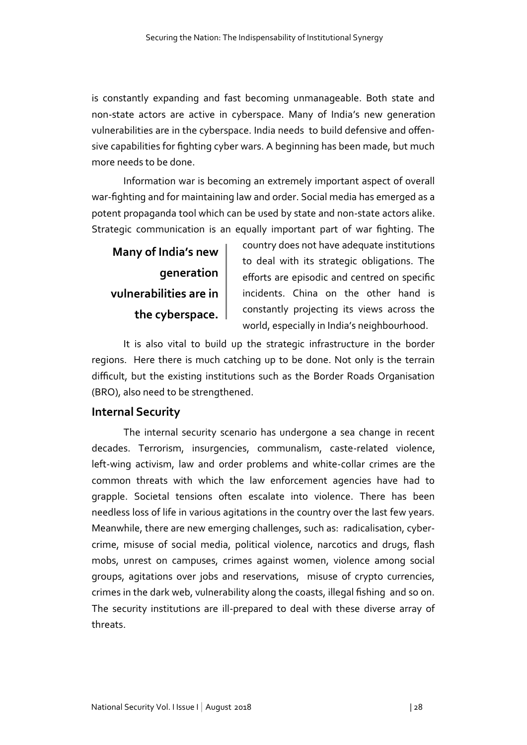is constantly expanding and fast becoming unmanageable. Both state and non-state actors are active in cyberspace. Many of India's new generation vulnerabilities are in the cyberspace. India needs to build defensive and offensive capabilities for fighting cyber wars. A beginning has been made, but much more needs to be done.

Information war is becoming an extremely important aspect of overall war-fighting and for maintaining law and order. Social media has emerged as a potent propaganda tool which can be used by state and non-state actors alike. Strategic communication is an equally important part of war fighting. The

**Many of India's new generation vulnerabilities are in the cyberspace.**

country does not have adequate institutions to deal with its strategic obligations. The efforts are episodic and centred on specific incidents. China on the other hand is constantly projecting its views across the world, especially in India's neighbourhood.

It is also vital to build up the strategic infrastructure in the border regions. Here there is much catching up to be done. Not only is the terrain difficult, but the existing institutions such as the Border Roads Organisation (BRO), also need to be strengthened.

### **Internal Security**

The internal security scenario has undergone a sea change in recent decades. Terrorism, insurgencies, communalism, caste-related violence, left-wing activism, law and order problems and white-collar crimes are the common threats with which the law enforcement agencies have had to grapple. Societal tensions often escalate into violence. There has been needless loss of life in various agitations in the country over the last few years. Meanwhile, there are new emerging challenges, such as: radicalisation, cybercrime, misuse of social media, political violence, narcotics and drugs, flash mobs, unrest on campuses, crimes against women, violence among social groups, agitations over jobs and reservations, misuse of crypto currencies, crimes in the dark web, vulnerability along the coasts, illegal fishing and so on. The security institutions are ill-prepared to deal with these diverse array of threats.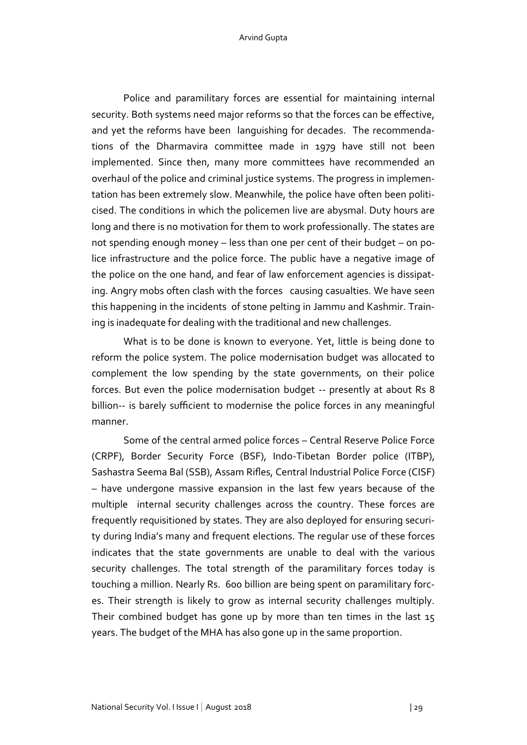#### Arvind Gupta

Police and paramilitary forces are essential for maintaining internal security. Both systems need major reforms so that the forces can be effective, and yet the reforms have been languishing for decades. The recommendations of the Dharmavira committee made in 1979 have still not been implemented. Since then, many more committees have recommended an overhaul of the police and criminal justice systems. The progress in implementation has been extremely slow. Meanwhile, the police have often been politicised. The conditions in which the policemen live are abysmal. Duty hours are long and there is no motivation for them to work professionally. The states are not spending enough money – less than one per cent of their budget – on police infrastructure and the police force. The public have a negative image of the police on the one hand, and fear of law enforcement agencies is dissipating. Angry mobs often clash with the forces causing casualties. We have seen this happening in the incidents of stone pelting in Jammu and Kashmir. Training is inadequate for dealing with the traditional and new challenges.

What is to be done is known to everyone. Yet, little is being done to reform the police system. The police modernisation budget was allocated to complement the low spending by the state governments, on their police forces. But even the police modernisation budget -- presently at about Rs 8 billion-- is barely sufficient to modernise the police forces in any meaningful manner.

Some of the central armed police forces – Central Reserve Police Force (CRPF), Border Security Force (BSF), Indo-Tibetan Border police (ITBP), Sashastra Seema Bal (SSB), Assam Rifles, Central Industrial Police Force (CISF) – have undergone massive expansion in the last few years because of the multiple internal security challenges across the country. These forces are frequently requisitioned by states. They are also deployed for ensuring security during India's many and frequent elections. The regular use of these forces indicates that the state governments are unable to deal with the various security challenges. The total strength of the paramilitary forces today is touching a million. Nearly Rs. 600 billion are being spent on paramilitary forces. Their strength is likely to grow as internal security challenges multiply. Their combined budget has gone up by more than ten times in the last 15 years. The budget of the MHA has also gone up in the same proportion.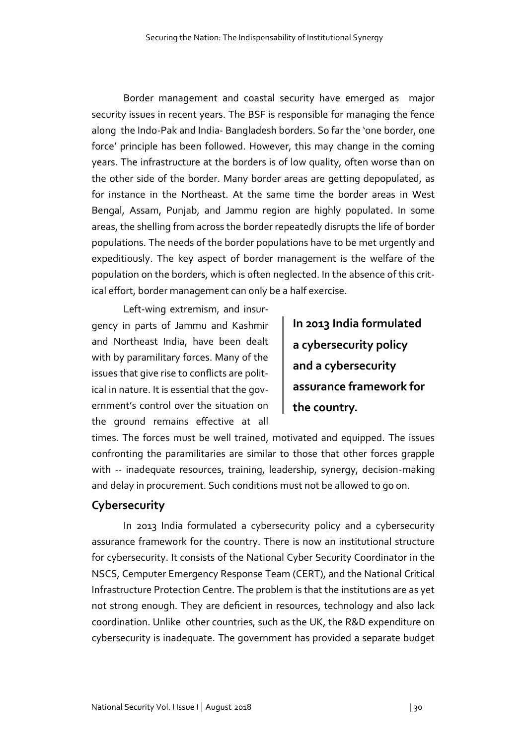Border management and coastal security have emerged as major security issues in recent years. The BSF is responsible for managing the fence along the Indo-Pak and India- Bangladesh borders. So far the 'one border, one force' principle has been followed. However, this may change in the coming years. The infrastructure at the borders is of low quality, often worse than on the other side of the border. Many border areas are getting depopulated, as for instance in the Northeast. At the same time the border areas in West Bengal, Assam, Punjab, and Jammu region are highly populated. In some areas, the shelling from across the border repeatedly disrupts the life of border populations. The needs of the border populations have to be met urgently and expeditiously. The key aspect of border management is the welfare of the population on the borders, which is often neglected. In the absence of this critical effort, border management can only be a half exercise.

Left-wing extremism, and insurgency in parts of Jammu and Kashmir and Northeast India, have been dealt with by paramilitary forces. Many of the issues that give rise to conflicts are political in nature. It is essential that the government's control over the situation on the ground remains effective at all

**In 2013 India formulated a cybersecurity policy and a cybersecurity assurance framework for the country.** 

times. The forces must be well trained, motivated and equipped. The issues confronting the paramilitaries are similar to those that other forces grapple with -- inadequate resources, training, leadership, synergy, decision-making and delay in procurement. Such conditions must not be allowed to go on.

## **Cybersecurity**

In 2013 India formulated a cybersecurity policy and a cybersecurity assurance framework for the country. There is now an institutional structure for cybersecurity. It consists of the National Cyber Security Coordinator in the NSCS, Cemputer Emergency Response Team (CERT), and the National Critical Infrastructure Protection Centre. The problem is that the institutions are as yet not strong enough. They are deficient in resources, technology and also lack coordination. Unlike other countries, such as the UK, the R&D expenditure on cybersecurity is inadequate. The government has provided a separate budget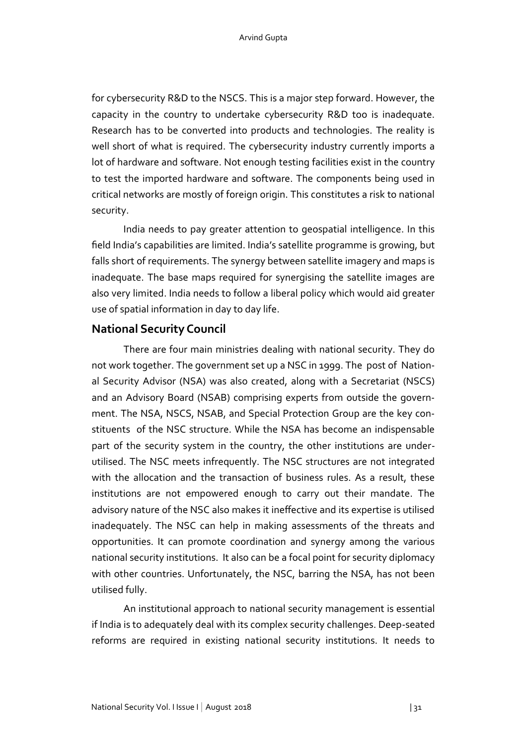for cybersecurity R&D to the NSCS. This is a major step forward. However, the capacity in the country to undertake cybersecurity R&D too is inadequate. Research has to be converted into products and technologies. The reality is well short of what is required. The cybersecurity industry currently imports a lot of hardware and software. Not enough testing facilities exist in the country to test the imported hardware and software. The components being used in critical networks are mostly of foreign origin. This constitutes a risk to national security.

India needs to pay greater attention to geospatial intelligence. In this field India's capabilities are limited. India's satellite programme is growing, but falls short of requirements. The synergy between satellite imagery and maps is inadequate. The base maps required for synergising the satellite images are also very limited. India needs to follow a liberal policy which would aid greater use of spatial information in day to day life.

#### **National Security Council**

There are four main ministries dealing with national security. They do not work together. The government set up a NSC in 1999. The post of National Security Advisor (NSA) was also created, along with a Secretariat (NSCS) and an Advisory Board (NSAB) comprising experts from outside the government. The NSA, NSCS, NSAB, and Special Protection Group are the key constituents of the NSC structure. While the NSA has become an indispensable part of the security system in the country, the other institutions are underutilised. The NSC meets infrequently. The NSC structures are not integrated with the allocation and the transaction of business rules. As a result, these institutions are not empowered enough to carry out their mandate. The advisory nature of the NSC also makes it ineffective and its expertise is utilised inadequately. The NSC can help in making assessments of the threats and opportunities. It can promote coordination and synergy among the various national security institutions. It also can be a focal point for security diplomacy with other countries. Unfortunately, the NSC, barring the NSA, has not been utilised fully.

An institutional approach to national security management is essential if India is to adequately deal with its complex security challenges. Deep-seated reforms are required in existing national security institutions. It needs to